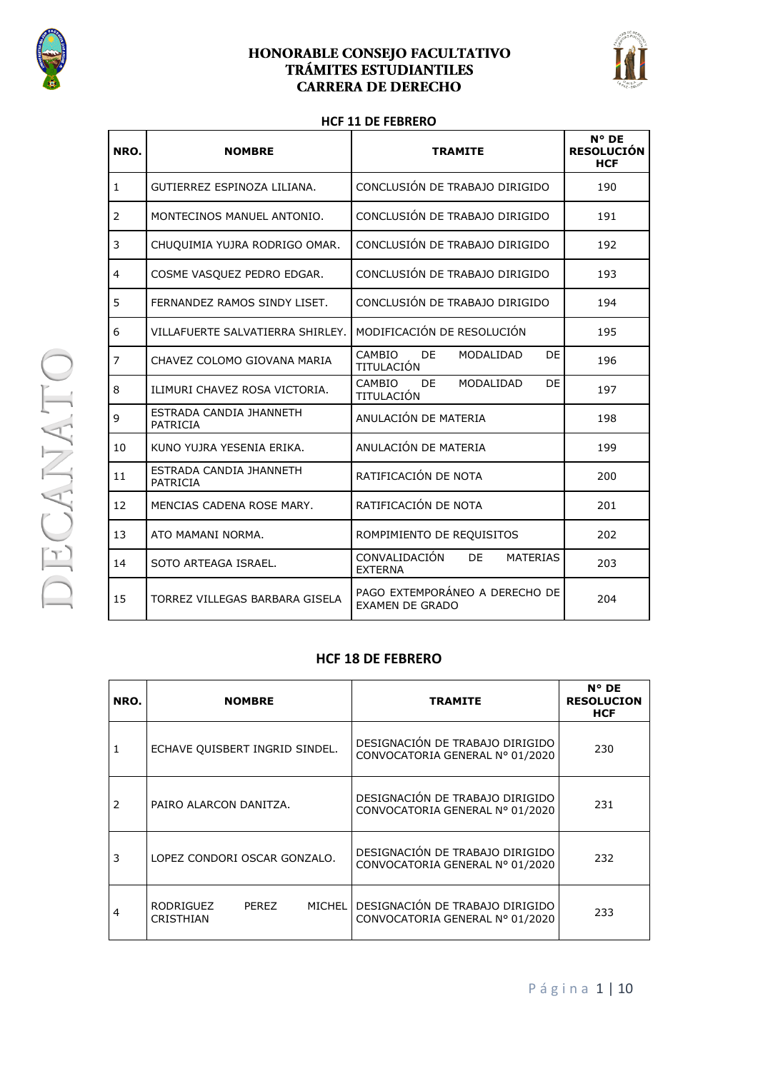



#### **HCF 11 DE FEBRERO**

| NRO.           | <b>NOMBRE</b>                       | <b>TRAMITE</b>                                            | N° DE<br><b>RESOLUCIÓN</b><br><b>HCF</b> |
|----------------|-------------------------------------|-----------------------------------------------------------|------------------------------------------|
| $\mathbf{1}$   | GUTIERREZ ESPINOZA LILIANA.         | CONCLUSIÓN DE TRABAJO DIRIGIDO                            | 190                                      |
| 2              | MONTECINOS MANUEL ANTONIO.          | CONCLUSIÓN DE TRABAJO DIRIGIDO                            | 191                                      |
| 3              | CHUQUIMIA YUJRA RODRIGO OMAR.       | CONCLUSIÓN DE TRABAJO DIRIGIDO                            | 192                                      |
| 4              | COSME VASQUEZ PEDRO EDGAR.          | CONCLUSIÓN DE TRABAJO DIRIGIDO                            | 193                                      |
| 5              | FERNANDEZ RAMOS SINDY LISET.        | CONCLUSIÓN DE TRABAJO DIRIGIDO                            | 194                                      |
| 6              | VILLAFUERTE SALVATIERRA SHIRLEY.    | MODIFICACIÓN DE RESOLUCIÓN                                | 195                                      |
| $\overline{7}$ | CHAVEZ COLOMO GIOVANA MARIA         | CAMBIO<br>DE.<br>DE<br>MODALIDAD<br>TITULACIÓN            | 196                                      |
| 8              | ILIMURI CHAVEZ ROSA VICTORIA.       | CAMBIO<br>DE.<br>MODALIDAD<br>DE<br>TITULACIÓN            | 197                                      |
| 9              | ESTRADA CANDIA JHANNETH<br>PATRICIA | ANULACIÓN DE MATERIA                                      | 198                                      |
| 10             | KUNO YUJRA YESENIA ERIKA.           | ANULACIÓN DE MATERIA                                      | 199                                      |
| 11             | ESTRADA CANDIA JHANNETH<br>PATRICIA | RATIFICACIÓN DE NOTA                                      | 200                                      |
| 12             | MENCIAS CADENA ROSE MARY.           | RATIFICACIÓN DE NOTA                                      | 201                                      |
| 13             | ATO MAMANI NORMA.                   | ROMPIMIENTO DE REQUISITOS                                 | 202                                      |
| 14             | SOTO ARTEAGA ISRAEL.                | CONVALIDACIÓN<br>DE.<br><b>MATERIAS</b><br><b>EXTERNA</b> | 203                                      |
| 15             | TORREZ VILLEGAS BARBARA GISELA      | PAGO EXTEMPORÁNEO A DERECHO DE<br><b>EXAMEN DE GRADO</b>  | 204                                      |

#### **HCF 18 DE FEBRERO**

| NRO. | <b>NOMBRE</b>                                    | <b>TRAMITE</b>                                                     | $N^{\circ}$ DE<br><b>RESOLUCION</b><br><b>HCF</b> |
|------|--------------------------------------------------|--------------------------------------------------------------------|---------------------------------------------------|
|      | ECHAVE QUISBERT INGRID SINDEL.                   | DESIGNACIÓN DE TRABAJO DIRIGIDO<br>CONVOCATORIA GENERAL Nº 01/2020 | 230                                               |
| 2    | PAIRO ALARCON DANITZA.                           | DESIGNACIÓN DE TRABAJO DIRIGIDO<br>CONVOCATORIA GENERAL Nº 01/2020 | 231                                               |
| 3    | LOPEZ CONDORI OSCAR GONZALO.                     | DESIGNACIÓN DE TRABAJO DIRIGIDO<br>CONVOCATORIA GENERAL Nº 01/2020 | 232                                               |
| 4    | <b>MICHEL</b><br>RODRIGUEZ<br>PEREZ<br>CRISTHIAN | DESIGNACIÓN DE TRABAJO DIRIGIDO<br>CONVOCATORIA GENERAL Nº 01/2020 | 233                                               |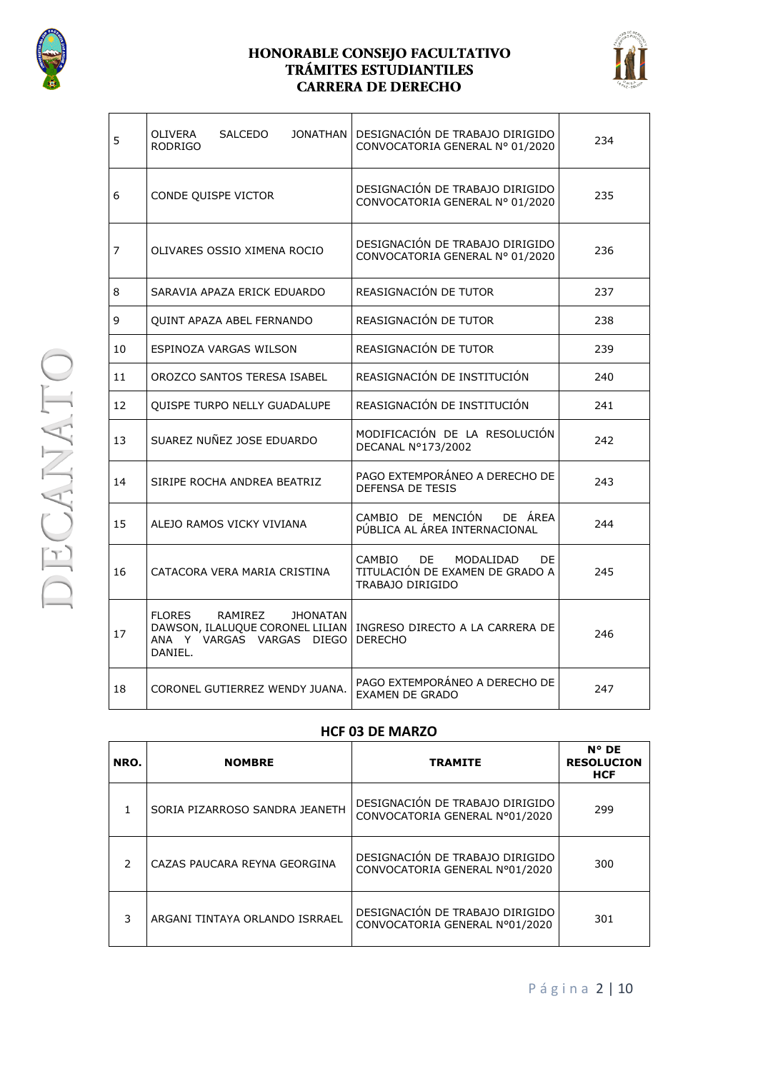



| 5              | <b>OLIVERA</b><br><b>SALCEDO</b><br><b>RODRIGO</b>                                                                     | JONATHAN   DESIGNACIÓN DE TRABAJO DIRIGIDO<br>CONVOCATORIA GENERAL Nº 01/2020           | 234 |
|----------------|------------------------------------------------------------------------------------------------------------------------|-----------------------------------------------------------------------------------------|-----|
| 6              | CONDE QUISPE VICTOR                                                                                                    | DESIGNACIÓN DE TRABAJO DIRIGIDO<br>CONVOCATORIA GENERAL Nº 01/2020                      | 235 |
| $\overline{7}$ | OLIVARES OSSIO XIMENA ROCIO                                                                                            | DESIGNACIÓN DE TRABAJO DIRIGIDO<br>CONVOCATORIA GENERAL Nº 01/2020                      | 236 |
| 8              | SARAVIA APAZA ERICK EDUARDO                                                                                            | REASIGNACIÓN DE TUTOR                                                                   | 237 |
| 9              | <b>QUINT APAZA ABEL FERNANDO</b>                                                                                       | REASIGNACIÓN DE TUTOR                                                                   | 238 |
| 10             | ESPINOZA VARGAS WILSON                                                                                                 | REASIGNACIÓN DE TUTOR                                                                   | 239 |
| 11             | OROZCO SANTOS TERESA ISABEL                                                                                            | REASIGNACIÓN DE INSTITUCIÓN                                                             | 240 |
| 12             | <b>OUISPE TURPO NELLY GUADALUPE</b>                                                                                    | REASIGNACIÓN DE INSTITUCIÓN                                                             | 241 |
| 13             | SUAREZ NUÑEZ JOSE EDUARDO                                                                                              | MODIFICACIÓN DE LA RESOLUCIÓN<br>DECANAL N°173/2002                                     | 242 |
| 14             | SIRIPE ROCHA ANDREA BEATRIZ                                                                                            | PAGO EXTEMPORÁNEO A DERECHO DE<br>DEFENSA DE TESIS                                      | 243 |
| 15             | ALEJO RAMOS VICKY VIVIANA                                                                                              | CAMBIO DE MENCIÓN DE ÁREA<br>PÚBLICA AL ÁREA INTERNACIONAL                              | 244 |
| 16             | CATACORA VERA MARIA CRISTINA                                                                                           | CAMBIO<br>DE<br>MODALIDAD<br>DF.<br>TITULACIÓN DE EXAMEN DE GRADO A<br>TRABAJO DIRIGIDO | 245 |
| 17             | <b>FLORES</b><br>RAMIREZ<br><b>JHONATAN</b><br>DAWSON, ILALUQUE CORONEL LILIAN<br>ANA Y VARGAS VARGAS DIEGO<br>DANIEL. | INGRESO DIRECTO A LA CARRERA DE<br><b>DERECHO</b>                                       | 246 |
| 18             | CORONEL GUTIERREZ WENDY JUANA.                                                                                         | PAGO EXTEMPORÁNEO A DERECHO DE<br><b>EXAMEN DE GRADO</b>                                | 247 |

#### **HCF 03 DE MARZO**

| NRO.          | <b>NOMBRE</b>                  | <b>TRAMITE</b>                                                    | $N^{\circ}$ DE<br><b>RESOLUCION</b><br><b>HCF</b> |
|---------------|--------------------------------|-------------------------------------------------------------------|---------------------------------------------------|
|               | SORIA PIZARROSO SANDRA JEANETH | DESIGNACIÓN DE TRABAJO DIRIGIDO<br>CONVOCATORIA GENERAL Nº01/2020 | 299                                               |
| $\mathcal{P}$ | CAZAS PAUCARA REYNA GEORGINA   | DESIGNACIÓN DE TRABAJO DIRIGIDO<br>CONVOCATORIA GENERAL Nº01/2020 | 300                                               |
| 3             | ARGANI TINTAYA ORLANDO ISRRAEL | DESIGNACIÓN DE TRABAJO DIRIGIDO<br>CONVOCATORIA GENERAL Nº01/2020 | 301                                               |

**DECANATO** 

#### P á g i n a 2 | 10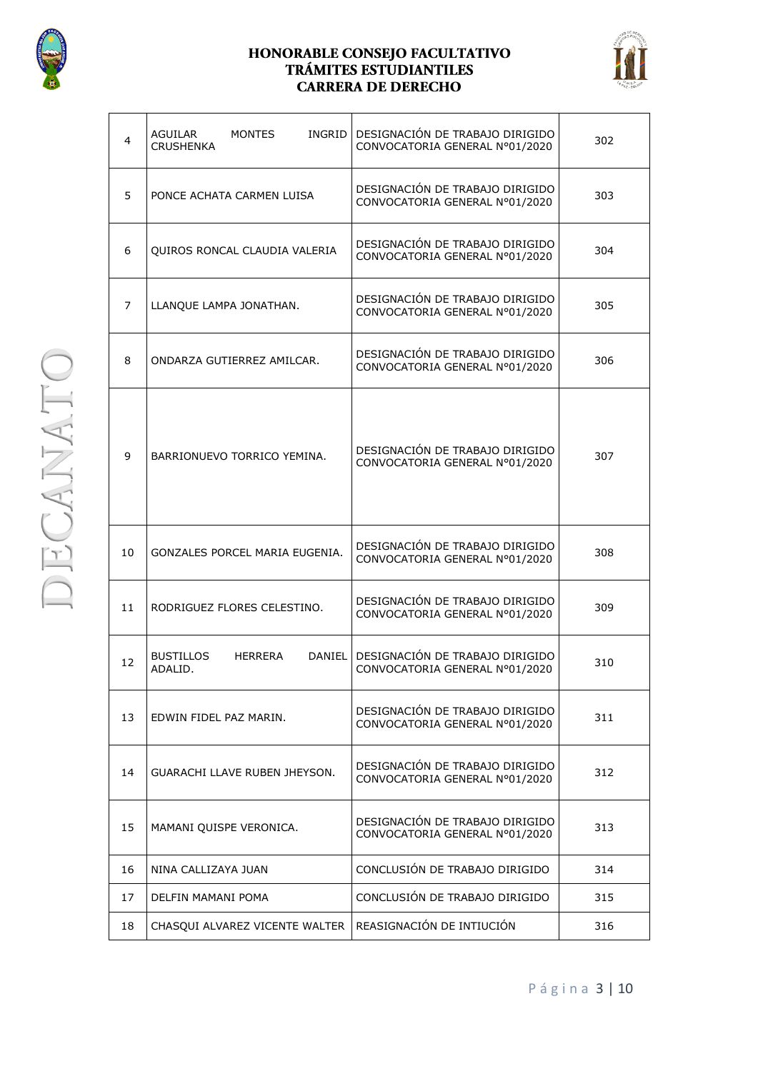



| 4              | <b>MONTES</b><br><b>INGRID</b><br>AGUILAR<br><b>CRUSHENKA</b> | DESIGNACIÓN DE TRABAJO DIRIGIDO<br>CONVOCATORIA GENERAL Nº01/2020 | 302 |
|----------------|---------------------------------------------------------------|-------------------------------------------------------------------|-----|
| 5              | PONCE ACHATA CARMEN LUISA                                     | DESIGNACIÓN DE TRABAJO DIRIGIDO<br>CONVOCATORIA GENERAL Nº01/2020 | 303 |
| 6              | QUIROS RONCAL CLAUDIA VALERIA                                 | DESIGNACIÓN DE TRABAJO DIRIGIDO<br>CONVOCATORIA GENERAL Nº01/2020 | 304 |
| $\overline{7}$ | LLANQUE LAMPA JONATHAN.                                       | DESIGNACIÓN DE TRABAJO DIRIGIDO<br>CONVOCATORIA GENERAL Nº01/2020 | 305 |
| 8              | ONDARZA GUTIERREZ AMILCAR.                                    | DESIGNACIÓN DE TRABAJO DIRIGIDO<br>CONVOCATORIA GENERAL Nº01/2020 | 306 |
| 9              | BARRIONUEVO TORRICO YEMINA.                                   | DESIGNACIÓN DE TRABAJO DIRIGIDO<br>CONVOCATORIA GENERAL Nº01/2020 | 307 |
| 10             | GONZALES PORCEL MARIA EUGENIA.                                | DESIGNACIÓN DE TRABAJO DIRIGIDO<br>CONVOCATORIA GENERAL Nº01/2020 | 308 |
| 11             | RODRIGUEZ FLORES CELESTINO.                                   | DESIGNACIÓN DE TRABAJO DIRIGIDO<br>CONVOCATORIA GENERAL Nº01/2020 | 309 |
| 12             | <b>BUSTILLOS</b><br>DANIEL I<br>HERRERA<br>ADALID.            | DESIGNACIÓN DE TRABAJO DIRIGIDO<br>CONVOCATORIA GENERAL Nº01/2020 | 310 |
| 13             | EDWIN FIDEL PAZ MARIN.                                        | DESIGNACIÓN DE TRABAJO DIRIGIDO<br>CONVOCATORIA GENERAL N°01/2020 | 311 |
| 14             | GUARACHI LLAVE RUBEN JHEYSON.                                 | DESIGNACIÓN DE TRABAJO DIRIGIDO<br>CONVOCATORIA GENERAL Nº01/2020 | 312 |
| 15             | MAMANI QUISPE VERONICA.                                       | DESIGNACIÓN DE TRABAJO DIRIGIDO<br>CONVOCATORIA GENERAL Nº01/2020 | 313 |
| 16             | NINA CALLIZAYA JUAN                                           | CONCLUSIÓN DE TRABAJO DIRIGIDO                                    | 314 |
| 17             | DELFIN MAMANI POMA                                            | CONCLUSIÓN DE TRABAJO DIRIGIDO                                    | 315 |
| 18             | CHASQUI ALVAREZ VICENTE WALTER                                | REASIGNACIÓN DE INTIUCIÓN                                         | 316 |

P á g i n a 3 | 10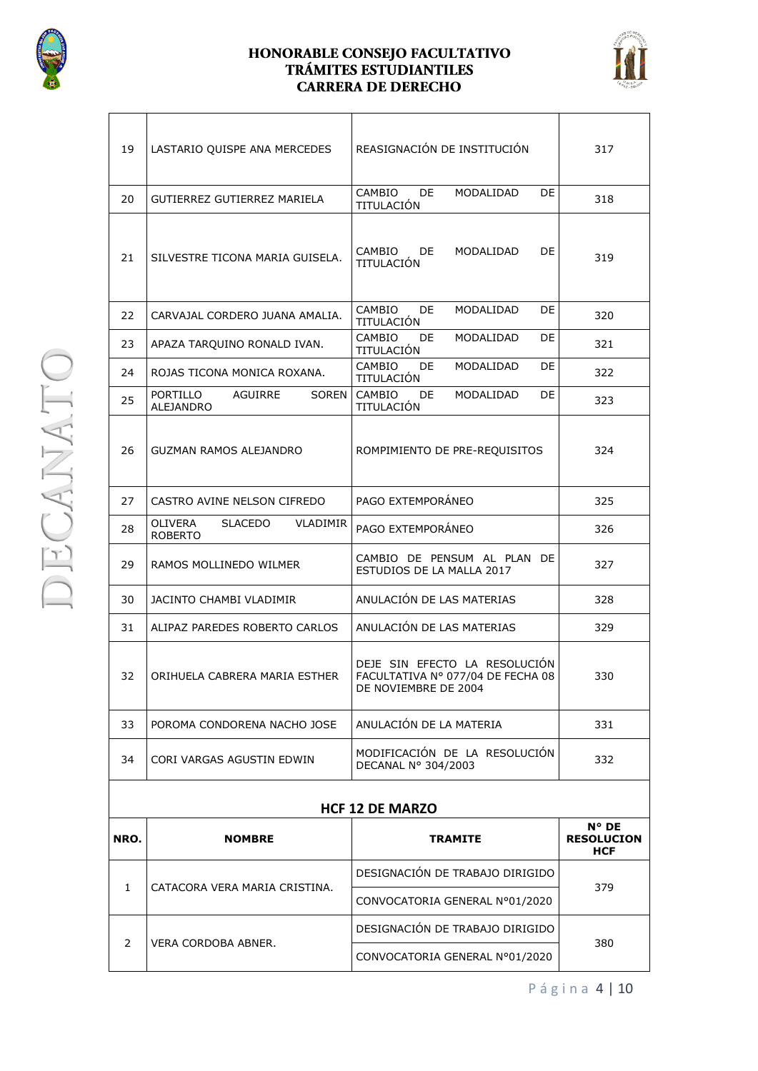



| 19                     | LASTARIO QUISPE ANA MERCEDES                            | REASIGNACIÓN DE INSTITUCIÓN                                                                | 317                                               |
|------------------------|---------------------------------------------------------|--------------------------------------------------------------------------------------------|---------------------------------------------------|
| 20                     | GUTIERREZ GUTIERREZ MARIELA                             | CAMBIO<br>MODALIDAD<br>DE<br>DE<br>TITULACIÓN                                              | 318                                               |
| 21                     | SILVESTRE TICONA MARIA GUISELA.                         | CAMBIO<br>DE.<br>MODALIDAD<br>DE<br>TITULACIÓN                                             | 319                                               |
| 22                     | CARVAJAL CORDERO JUANA AMALIA.                          | CAMBIO<br>DE<br>MODALIDAD<br>DE<br>TITULACIÓN                                              | 320                                               |
| 23                     | APAZA TARQUINO RONALD IVAN.                             | CAMBIO<br>DE<br>MODALIDAD<br>DE<br>TITULACIÓN                                              | 321                                               |
| 24                     | ROJAS TICONA MONICA ROXANA.                             | CAMBIO<br>DE.<br>MODALIDAD<br>DE<br>TITULACIÓN                                             | 322                                               |
| 25                     | PORTILLO<br>AGUIRRE<br>SOREN  <br>ALEJANDRO             | CAMBIO<br>MODALIDAD<br>DE<br>DE<br>TITULACIÓN                                              | 323                                               |
| 26                     | GUZMAN RAMOS ALEJANDRO                                  | ROMPIMIENTO DE PRE-REQUISITOS                                                              | 324                                               |
| 27                     | CASTRO AVINE NELSON CIFREDO                             | PAGO EXTEMPORÁNEO                                                                          | 325                                               |
| 28                     | <b>OLIVERA</b><br>SLACEDO<br>VLADIMIR<br><b>ROBERTO</b> | PAGO EXTEMPORÁNEO                                                                          | 326                                               |
| 29                     | RAMOS MOLLINEDO WILMER                                  | CAMBIO DE PENSUM AL PLAN DE<br>ESTUDIOS DE LA MALLA 2017                                   | 327                                               |
| 30                     | JACINTO CHAMBI VLADIMIR                                 | ANULACIÓN DE LAS MATERIAS                                                                  | 328                                               |
| 31                     | ALIPAZ PAREDES ROBERTO CARLOS                           | ANULACIÓN DE LAS MATERIAS                                                                  | 329                                               |
| 32                     | ORIHUELA CABRERA MARIA ESTHER                           | DEJE SIN EFECTO LA RESOLUCIÓN<br>FACULTATIVA Nº 077/04 DE FECHA 08<br>DE NOVIEMBRE DE 2004 | 330                                               |
| 33                     | POROMA CONDORENA NACHO JOSE                             | ANULACIÓN DE LA MATERIA                                                                    | 331                                               |
| 34                     | CORI VARGAS AGUSTIN EDWIN                               | MODIFICACIÓN DE LA RESOLUCIÓN<br>DECANAL Nº 304/2003                                       | 332                                               |
| <b>HCF 12 DE MARZO</b> |                                                         |                                                                                            |                                                   |
| NRO.                   | <b>NOMBRE</b>                                           | <b>TRAMITE</b>                                                                             | $N^{\circ}$ DE<br><b>RESOLUCION</b><br><b>HCF</b> |
| $\mathbf{1}$           | CATACORA VERA MARIA CRISTINA.                           | DESIGNACIÓN DE TRABAJO DIRIGIDO                                                            |                                                   |
|                        |                                                         | CONVOCATORIA GENERAL Nº01/2020                                                             | 379                                               |
| 2                      | VERA CORDOBA ABNER.                                     | DESIGNACIÓN DE TRABAJO DIRIGIDO                                                            | 380                                               |
|                        |                                                         | CONVOCATORIA GENERAL Nº01/2020                                                             |                                                   |

P á g i n a 4 | 10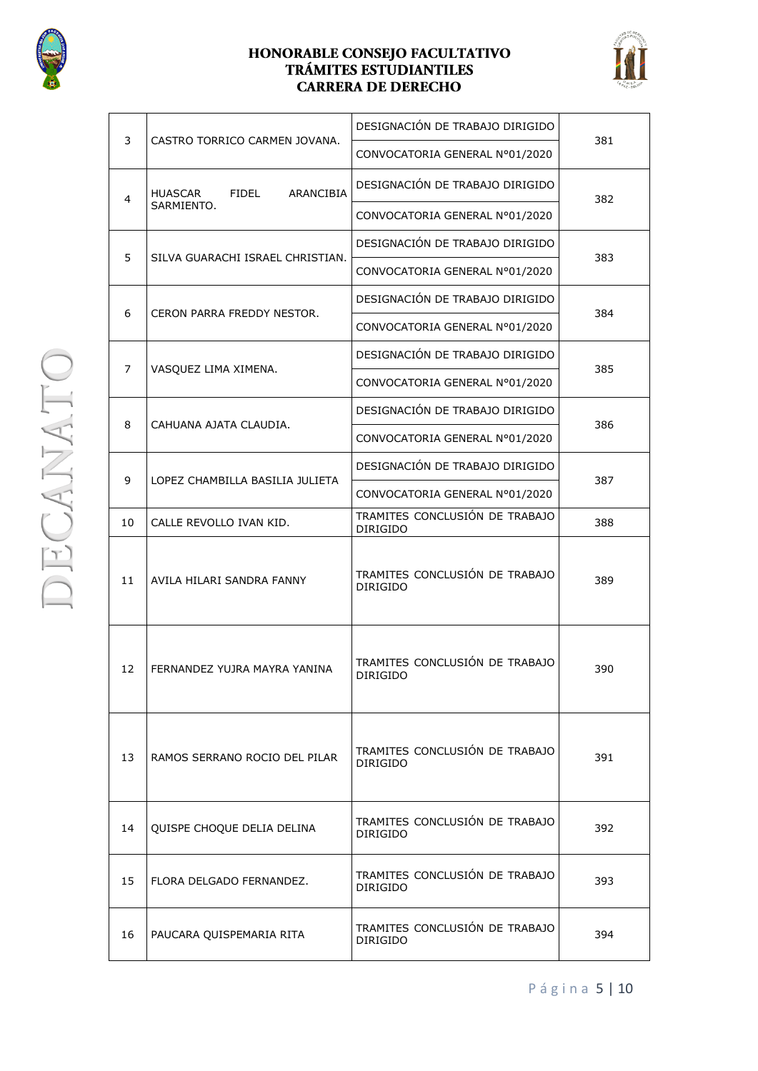



| 3  | CASTRO TORRICO CARMEN JOVANA.                             | DESIGNACIÓN DE TRABAJO DIRIGIDO                   | 381 |
|----|-----------------------------------------------------------|---------------------------------------------------|-----|
|    |                                                           | CONVOCATORIA GENERAL Nº01/2020                    |     |
| 4  | <b>ARANCIBIA</b><br><b>HUASCAR</b><br>FIDEL<br>SARMIENTO. | DESIGNACIÓN DE TRABAJO DIRIGIDO                   | 382 |
|    |                                                           | CONVOCATORIA GENERAL Nº01/2020                    |     |
| 5  | SILVA GUARACHI ISRAEL CHRISTIAN.                          | DESIGNACIÓN DE TRABAJO DIRIGIDO                   |     |
|    |                                                           | CONVOCATORIA GENERAL Nº01/2020                    | 383 |
| 6  | CERON PARRA FREDDY NESTOR.                                | DESIGNACIÓN DE TRABAJO DIRIGIDO                   | 384 |
|    |                                                           | CONVOCATORIA GENERAL Nº01/2020                    |     |
| 7  | VASQUEZ LIMA XIMENA.                                      | DESIGNACIÓN DE TRABAJO DIRIGIDO                   | 385 |
|    |                                                           | CONVOCATORIA GENERAL Nº01/2020                    |     |
| 8  | CAHUANA AJATA CLAUDIA.                                    | DESIGNACIÓN DE TRABAJO DIRIGIDO                   | 386 |
|    |                                                           | CONVOCATORIA GENERAL N°01/2020                    |     |
| 9  | LOPEZ CHAMBILLA BASILIA JULIETA                           | DESIGNACIÓN DE TRABAJO DIRIGIDO                   | 387 |
|    |                                                           | CONVOCATORIA GENERAL Nº01/2020                    |     |
| 10 | CALLE REVOLLO IVAN KID.                                   | TRAMITES CONCLUSIÓN DE TRABAJO<br><b>DIRIGIDO</b> | 388 |
| 11 | AVILA HILARI SANDRA FANNY                                 | TRAMITES CONCLUSIÓN DE TRABAJO<br><b>DIRIGIDO</b> | 389 |
| 12 | FERNANDEZ YUJRA MAYRA YANINA                              | TRAMITES CONCLUSIÓN DE TRABAJO<br><b>DIRIGIDO</b> | 390 |
| 13 | RAMOS SERRANO ROCIO DEL PILAR                             | TRAMITES CONCLUSIÓN DE TRABAJO<br><b>DIRIGIDO</b> | 391 |
| 14 | QUISPE CHOQUE DELIA DELINA                                | TRAMITES CONCLUSIÓN DE TRABAJO<br><b>DIRIGIDO</b> | 392 |
| 15 | FLORA DELGADO FERNANDEZ.                                  | TRAMITES CONCLUSIÓN DE TRABAJO<br><b>DIRIGIDO</b> | 393 |
| 16 | PAUCARA QUISPEMARIA RITA                                  | TRAMITES CONCLUSIÓN DE TRABAJO<br><b>DIRIGIDO</b> | 394 |

**DECANATO** 

P á g i n a 5 | 10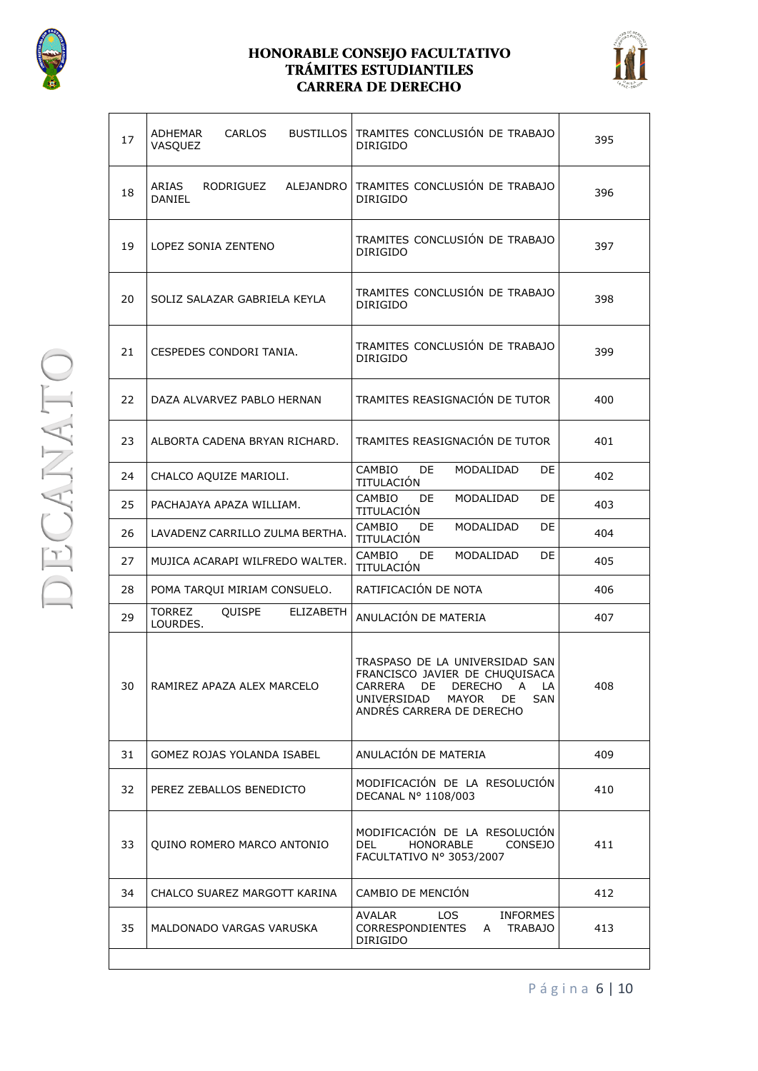



| 17 | ADHEMAR<br>CARLOS<br>VASQUEZ                                   | BUSTILLOS TRAMITES CONCLUSIÓN DE TRABAJO<br>DIRIGIDO                                                                                                           | 395 |
|----|----------------------------------------------------------------|----------------------------------------------------------------------------------------------------------------------------------------------------------------|-----|
| 18 | ARIAS<br>ALEJANDRO<br>RODRIGUEZ<br><b>DANIEL</b>               | TRAMITES CONCLUSIÓN DE TRABAJO<br><b>DIRIGIDO</b>                                                                                                              | 396 |
| 19 | LOPEZ SONIA ZENTENO                                            | TRAMITES CONCLUSIÓN DE TRABAJO<br><b>DIRIGIDO</b>                                                                                                              | 397 |
| 20 | SOLIZ SALAZAR GABRIELA KEYLA                                   | TRAMITES CONCLUSIÓN DE TRABAJO<br><b>DIRIGIDO</b>                                                                                                              | 398 |
| 21 | CESPEDES CONDORI TANIA.                                        | TRAMITES CONCLUSIÓN DE TRABAJO<br><b>DIRIGIDO</b>                                                                                                              | 399 |
| 22 | DAZA ALVARVEZ PABLO HERNAN                                     | TRAMITES REASIGNACIÓN DE TUTOR                                                                                                                                 | 400 |
| 23 | ALBORTA CADENA BRYAN RICHARD.                                  | TRAMITES REASIGNACIÓN DE TUTOR                                                                                                                                 | 401 |
| 24 | CHALCO AQUIZE MARIOLI.                                         | CAMBIO<br>DE.<br>MODALIDAD<br>DE<br>TITULACIÓN                                                                                                                 | 402 |
| 25 | PACHAJAYA APAZA WILLIAM.                                       | CAMBIO<br>MODALIDAD<br>DE.<br>DE<br>TITULACIÓN                                                                                                                 | 403 |
| 26 | LAVADENZ CARRILLO ZULMA BERTHA.                                | CAMBIO<br>MODALIDAD<br>DE<br>DE<br>TITULACIÓN                                                                                                                  | 404 |
| 27 | MUJICA ACARAPI WILFREDO WALTER.                                | MODALIDAD<br>CAMBIO<br>DE.<br>DE<br>TITULACIÓN                                                                                                                 | 405 |
| 28 | POMA TARQUI MIRIAM CONSUELO.                                   | RATIFICACIÓN DE NOTA                                                                                                                                           | 406 |
| 29 | <b>TORREZ</b><br><b>OUISPE</b><br><b>ELIZABETH</b><br>LOURDES. | ANULACIÓN DE MATERIA                                                                                                                                           | 407 |
| 30 | RAMIREZ APAZA ALEX MARCELO                                     | TRASPASO DE LA UNIVERSIDAD SAN<br>FRANCISCO JAVIER DE CHUQUISACA<br>CARRERA DE DERECHO A LA<br>UNIVERSIDAD MAYOR DE<br><b>SAN</b><br>ANDRÉS CARRERA DE DERECHO | 408 |
| 31 | GOMEZ ROJAS YOLANDA ISABEL                                     | ANULACIÓN DE MATERIA                                                                                                                                           | 409 |
| 32 | PEREZ ZEBALLOS BENEDICTO                                       | MODIFICACIÓN DE LA RESOLUCIÓN<br>DECANAL Nº 1108/003                                                                                                           | 410 |
| 33 | QUINO ROMERO MARCO ANTONIO                                     | MODIFICACIÓN DE LA RESOLUCIÓN<br>DEL<br><b>HONORABLE</b><br><b>CONSEJO</b><br>FACULTATIVO Nº 3053/2007                                                         | 411 |
| 34 | CHALCO SUAREZ MARGOTT KARINA                                   | CAMBIO DE MENCIÓN                                                                                                                                              | 412 |
| 35 | MALDONADO VARGAS VARUSKA                                       | AVALAR<br>LOS<br><b>INFORMES</b><br>CORRESPONDIENTES<br><b>TRABAJO</b><br>A<br>DIRIGIDO                                                                        | 413 |

P á g i n a 6 | 10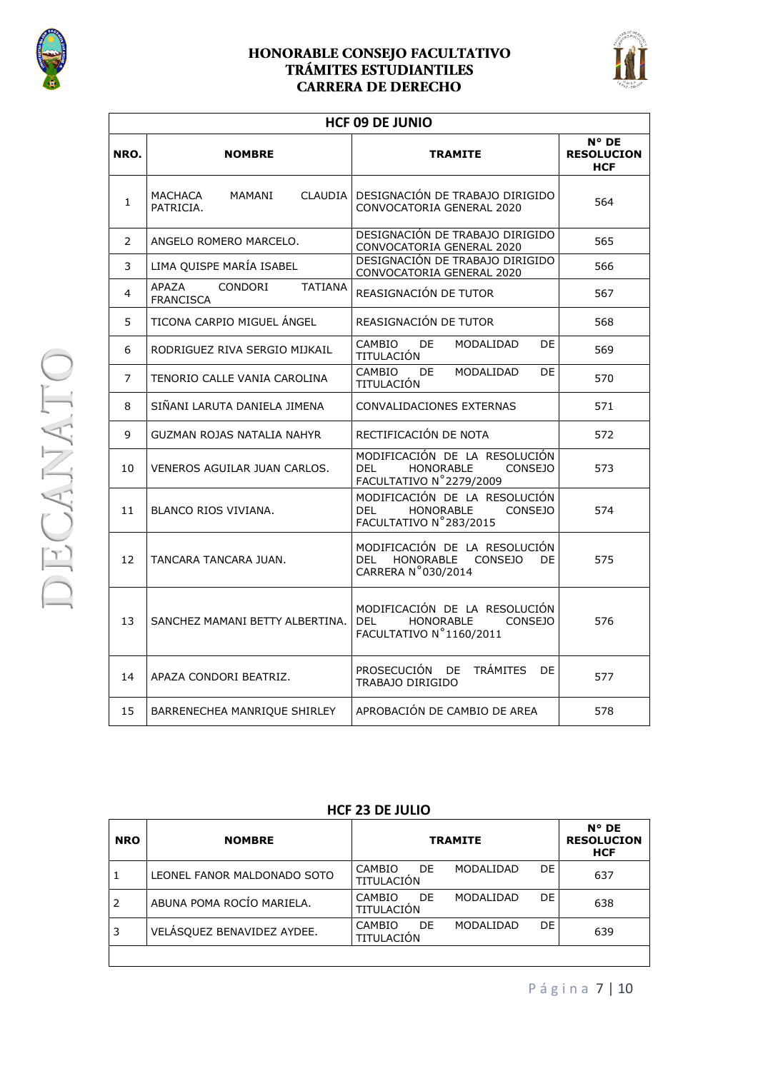

#### HONORABLE CONSEJO FACULTATIVO TRÁMITES ESTUDIANTILES **CARRERA DE DERECHO**



٦

|                | <b>HCF 09 DE JUNIO</b>                                        |                                                                                                                |                                                   |  |
|----------------|---------------------------------------------------------------|----------------------------------------------------------------------------------------------------------------|---------------------------------------------------|--|
| NRO.           | <b>NOMBRE</b>                                                 | <b>TRAMITE</b>                                                                                                 | $N^{\circ}$ DE<br><b>RESOLUCION</b><br><b>HCF</b> |  |
| $\mathbf{1}$   | <b>CLAUDIA</b><br>MACHACA<br>MAMANI<br>PATRICIA.              | DESIGNACIÓN DE TRABAJO DIRIGIDO<br>CONVOCATORIA GENERAL 2020                                                   | 564                                               |  |
| $\overline{2}$ | ANGELO ROMERO MARCELO.                                        | DESIGNACIÓN DE TRABAJO DIRIGIDO<br>CONVOCATORIA GENERAL 2020                                                   | 565                                               |  |
| 3              | LIMA QUISPE MARÍA ISABEL                                      | DESIGNACIÓN DE TRABAJO DIRIGIDO<br>CONVOCATORIA GENERAL 2020                                                   | 566                                               |  |
| 4              | <b>APAZA</b><br>CONDORI<br><b>TATIANA</b><br><b>FRANCISCA</b> | REASIGNACIÓN DE TUTOR                                                                                          | 567                                               |  |
| 5              | TICONA CARPIO MIGUEL ANGEL                                    | REASIGNACIÓN DE TUTOR                                                                                          | 568                                               |  |
| 6              | RODRIGUEZ RIVA SERGIO MIJKAIL                                 | CAMBIO<br><b>DE</b><br>MODALIDAD<br>DE<br>TITULACIÓN                                                           | 569                                               |  |
| $\overline{7}$ | TENORIO CALLE VANIA CAROLINA                                  | CAMBIO<br>DE<br>MODALIDAD<br>DE<br>TITULACIÓN                                                                  | 570                                               |  |
| 8              | SIÑANI LARUTA DANIELA JIMENA                                  | CONVALIDACIONES EXTERNAS                                                                                       | 571                                               |  |
| 9              | GUZMAN ROJAS NATALIA NAHYR                                    | RECTIFICACIÓN DE NOTA                                                                                          | 572                                               |  |
| 10             | VENEROS AGUILAR JUAN CARLOS.                                  | MODIFICACIÓN DE LA RESOLUCIÓN<br>HONORABLE<br>DEL<br><b>CONSEJO</b><br>FACULTATIVO N°2279/2009                 | 573                                               |  |
| 11             | BLANCO RIOS VIVIANA.                                          | MODIFICACIÓN DE LA RESOLUCIÓN<br>DEL<br><b>HONORABLE</b><br><b>CONSEJO</b><br>FACULTATIVO N°283/2015           | 574                                               |  |
| 12             | TANCARA TANCARA JUAN.                                         | MODIFICACIÓN DE LA RESOLUCIÓN<br><b>DEL</b><br><b>HONORABLE</b><br><b>CONSEJO</b><br>DF.<br>CARRERA N°030/2014 | 575                                               |  |
| 13             | SANCHEZ MAMANI BETTY ALBERTINA.                               | MODIFICACIÓN DE LA RESOLUCIÓN<br><b>DEL</b><br>HONORABLE<br><b>CONSEJO</b><br>FACULTATIVO N°1160/2011          | 576                                               |  |
| 14             | APAZA CONDORI BEATRIZ.                                        | PROSECUCIÓN<br><b>TRÁMITES</b><br>DE<br>DE<br>TRABAJO DIRIGIDO                                                 | 577                                               |  |
| 15             | BARRENECHEA MANRIQUE SHIRLEY                                  | APROBACIÓN DE CAMBIO DE AREA                                                                                   | 578                                               |  |

#### **HCF 23 DE JULIO**

| <b>NRO</b> | <b>NOMBRE</b>               | <b>TRAMITE</b>                                         | $N^{\circ}$ DE<br><b>RESOLUCION</b><br><b>HCF</b> |
|------------|-----------------------------|--------------------------------------------------------|---------------------------------------------------|
|            | LEONEL FANOR MALDONADO SOTO | DE.<br>CAMBIO<br>DE.<br>MODALIDAD<br><b>TITULACIÓN</b> | 637                                               |
|            | ABUNA POMA ROCÍO MARIELA.   | DE<br>DE.<br>CAMBIO<br>MODALIDAD<br>TITULACIÓN         | 638                                               |
| 3          | VELÁSQUEZ BENAVIDEZ AYDEE.  | DE<br><b>CAMBIO</b><br>DE<br>MODALIDAD<br>TITULACIÓN   | 639                                               |
|            |                             |                                                        |                                                   |

**DECANATO**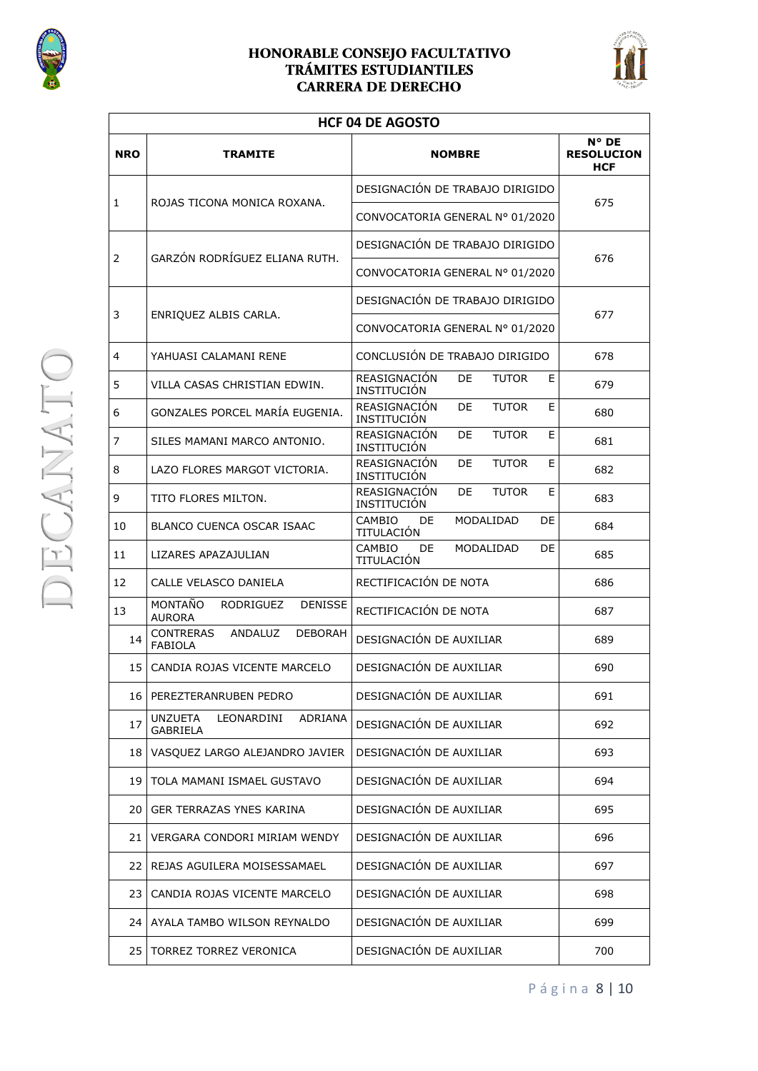



| <b>HCF 04 DE AGOSTO</b> |                                                                 |                                                               |                                                   |
|-------------------------|-----------------------------------------------------------------|---------------------------------------------------------------|---------------------------------------------------|
| <b>NRO</b>              | <b>TRAMITE</b>                                                  | <b>NOMBRE</b>                                                 | $N^{\circ}$ DE<br><b>RESOLUCION</b><br><b>HCF</b> |
| 1                       |                                                                 | DESIGNACIÓN DE TRABAJO DIRIGIDO                               | 675                                               |
|                         | ROJAS TICONA MONICA ROXANA.                                     | CONVOCATORIA GENERAL Nº 01/2020                               |                                                   |
| $\mathbf{2}^{\prime}$   | GARZÓN RODRÍGUEZ ELIANA RUTH.                                   | DESIGNACIÓN DE TRABAJO DIRIGIDO                               | 676                                               |
|                         |                                                                 | CONVOCATORIA GENERAL Nº 01/2020                               |                                                   |
| 3                       | ENRIQUEZ ALBIS CARLA.                                           | DESIGNACIÓN DE TRABAJO DIRIGIDO                               | 677                                               |
|                         |                                                                 | CONVOCATORIA GENERAL Nº 01/2020                               |                                                   |
| 4                       | YAHUASI CALAMANI RENE                                           | CONCLUSIÓN DE TRABAJO DIRIGIDO                                | 678                                               |
| 5                       | VILLA CASAS CHRISTIAN EDWIN.                                    | REASIGNACIÓN<br>DE<br><b>TUTOR</b><br>Е<br><b>INSTITUCIÓN</b> | 679                                               |
| 6                       | GONZALES PORCEL MARÍA EUGENIA.                                  | REASIGNACIÓN<br>DE<br><b>TUTOR</b><br>E<br><b>INSTITUCIÓN</b> | 680                                               |
| 7                       | SILES MAMANI MARCO ANTONIO.                                     | REASIGNACIÓN<br>DE<br><b>TUTOR</b><br>Е<br>INSTITUCIÓN        | 681                                               |
| 8                       | LAZO FLORES MARGOT VICTORIA.                                    | REASIGNACIÓN<br>DE<br><b>TUTOR</b><br>E<br>INSTITUCIÓN        | 682                                               |
| 9                       | TITO FLORES MILTON.                                             | REASIGNACIÓN<br>DE<br><b>TUTOR</b><br>Е<br>INSTITUCIÓN        | 683                                               |
| 10                      | BLANCO CUENCA OSCAR ISAAC                                       | MODALIDAD<br>DE<br><b>CAMBIO</b><br>DE<br>TITULACIÓN          | 684                                               |
| 11                      | LIZARES APAZAJULIAN                                             | CAMBIO<br>MODALIDAD<br>DE<br>DE<br>TITULACIÓN                 | 685                                               |
| 12                      | CALLE VELASCO DANIELA                                           | RECTIFICACIÓN DE NOTA                                         | 686                                               |
| 13                      | MONTAÑO<br>RODRIGUEZ<br><b>DENISSE</b><br><b>AURORA</b>         | RECTIFICACIÓN DE NOTA                                         | 687                                               |
| 14                      | <b>CONTRERAS</b><br>ANDALUZ<br><b>DEBORAH</b><br><b>FABIOLA</b> | DESIGNACIÓN DE AUXILIAR                                       | 689                                               |
| 15                      | CANDIA ROJAS VICENTE MARCELO                                    | DESIGNACIÓN DE AUXILIAR                                       | 690                                               |
| 16 I                    | PEREZTERANRUBEN PEDRO                                           | DESIGNACIÓN DE AUXILIAR                                       | 691                                               |
| 17                      | <b>UNZUETA</b><br>LEONARDINI<br>ADRIANA<br>GABRIELA             | DESIGNACIÓN DE AUXILIAR                                       | 692                                               |
| 18                      | VASQUEZ LARGO ALEJANDRO JAVIER                                  | DESIGNACIÓN DE AUXILIAR                                       | 693                                               |
| 19                      | TOLA MAMANI ISMAEL GUSTAVO                                      | DESIGNACIÓN DE AUXILIAR                                       | 694                                               |
| 20 l                    | GER TERRAZAS YNES KARINA                                        | DESIGNACIÓN DE AUXILIAR                                       | 695                                               |
| 21                      | VERGARA CONDORI MIRIAM WENDY                                    | DESIGNACIÓN DE AUXILIAR                                       | 696                                               |
| 22                      | REJAS AGUILERA MOISESSAMAEL                                     | DESIGNACIÓN DE AUXILIAR                                       | 697                                               |
| 23                      | CANDIA ROJAS VICENTE MARCELO                                    | DESIGNACIÓN DE AUXILIAR                                       | 698                                               |
| 24 <sub>1</sub>         | AYALA TAMBO WILSON REYNALDO                                     | DESIGNACIÓN DE AUXILIAR                                       | 699                                               |
| 25                      | TORREZ TORREZ VERONICA                                          | DESIGNACIÓN DE AUXILIAR                                       | 700                                               |

P á g i n a 8 | 10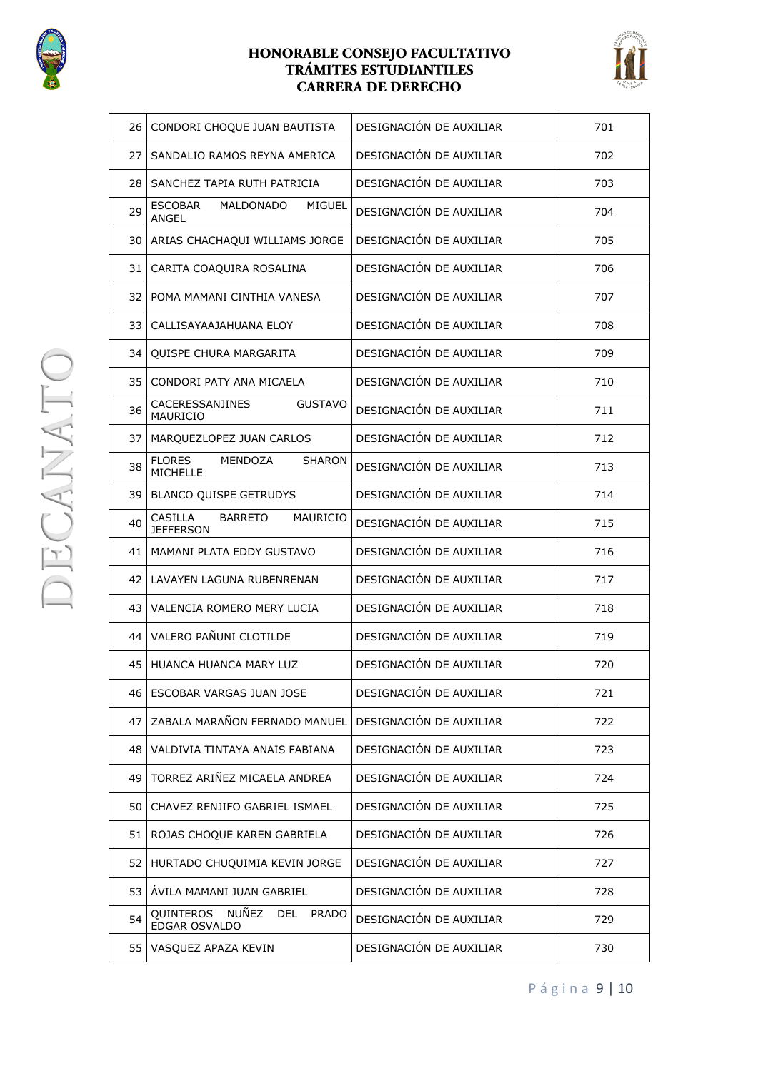



| 26              | CONDORI CHOQUE JUAN BAUTISTA                                      | DESIGNACIÓN DE AUXILIAR | 701 |
|-----------------|-------------------------------------------------------------------|-------------------------|-----|
| 27              | SANDALIO RAMOS REYNA AMERICA                                      | DESIGNACIÓN DE AUXILIAR | 702 |
| 28              | SANCHEZ TAPIA RUTH PATRICIA                                       | DESIGNACIÓN DE AUXILIAR | 703 |
| 29              | ESCOBAR<br>MALDONADO<br>MIGUEL<br><b>ANGEL</b>                    | DESIGNACIÓN DE AUXILIAR | 704 |
| 30 I            | ARIAS CHACHAQUI WILLIAMS JORGE                                    | DESIGNACIÓN DE AUXILIAR | 705 |
| 31              | CARITA COAQUIRA ROSALINA                                          | DESIGNACIÓN DE AUXILIAR | 706 |
| 32              | POMA MAMANI CINTHIA VANESA                                        | DESIGNACIÓN DE AUXILIAR | 707 |
| 33              | CALLISAYAAJAHUANA ELOY                                            | DESIGNACIÓN DE AUXILIAR | 708 |
| 34              | QUISPE CHURA MARGARITA                                            | DESIGNACIÓN DE AUXILIAR | 709 |
| 35              | CONDORI PATY ANA MICAELA                                          | DESIGNACIÓN DE AUXILIAR | 710 |
| 36              | CACERESSANJINES<br><b>GUSTAVO</b><br>MAURICIO                     | DESIGNACIÓN DE AUXILIAR | 711 |
| 37              | MARQUEZLOPEZ JUAN CARLOS                                          | DESIGNACIÓN DE AUXILIAR | 712 |
| 38              | <b>FLORES</b><br>MENDOZA<br><b>SHARON</b><br>MICHELLE             | DESIGNACIÓN DE AUXILIAR | 713 |
| 39              | <b>BLANCO QUISPE GETRUDYS</b>                                     | DESIGNACIÓN DE AUXILIAR | 714 |
| 40              | CASILLA<br><b>BARRETO</b><br>MAURICIO<br><b>JEFFERSON</b>         | DESIGNACIÓN DE AUXILIAR | 715 |
| 41 <sup>1</sup> | MAMANI PLATA EDDY GUSTAVO                                         | DESIGNACIÓN DE AUXILIAR | 716 |
| 42              | LAVAYEN LAGUNA RUBENRENAN                                         | DESIGNACIÓN DE AUXILIAR | 717 |
| 43              | VALENCIA ROMERO MERY LUCIA                                        | DESIGNACIÓN DE AUXILIAR | 718 |
| 44              | VALERO PAÑUNI CLOTILDE                                            | DESIGNACIÓN DE AUXILIAR | 719 |
| 45 I            | HUANCA HUANCA MARY LUZ                                            | DESIGNACIÓN DE AUXILIAR | 720 |
| 46              | ESCOBAR VARGAS JUAN JOSE                                          | DESIGNACIÓN DE AUXILIAR | 721 |
| 47              | ZABALA MARAÑON FERNADO MANUEL                                     | DESIGNACIÓN DE AUXILIAR | 722 |
| 48              | VALDIVIA TINTAYA ANAIS FABIANA                                    | DESIGNACIÓN DE AUXILIAR | 723 |
| 49              | TORREZ ARIÑEZ MICAELA ANDREA                                      | DESIGNACIÓN DE AUXILIAR | 724 |
| 50              | CHAVEZ RENJIFO GABRIEL ISMAEL                                     | DESIGNACIÓN DE AUXILIAR | 725 |
| 51              | ROJAS CHOQUE KAREN GABRIELA                                       | DESIGNACIÓN DE AUXILIAR | 726 |
| 52              | HURTADO CHUQUIMIA KEVIN JORGE                                     | DESIGNACIÓN DE AUXILIAR | 727 |
| 53              | ÁVILA MAMANI JUAN GABRIEL                                         | DESIGNACIÓN DE AUXILIAR | 728 |
| 54              | NUÑEZ<br>QUINTEROS<br><b>DEL</b><br><b>PRADO</b><br>EDGAR OSVALDO | DESIGNACIÓN DE AUXILIAR | 729 |
| 55              | VASQUEZ APAZA KEVIN                                               | DESIGNACIÓN DE AUXILIAR | 730 |

P á g i n a 9 | 10